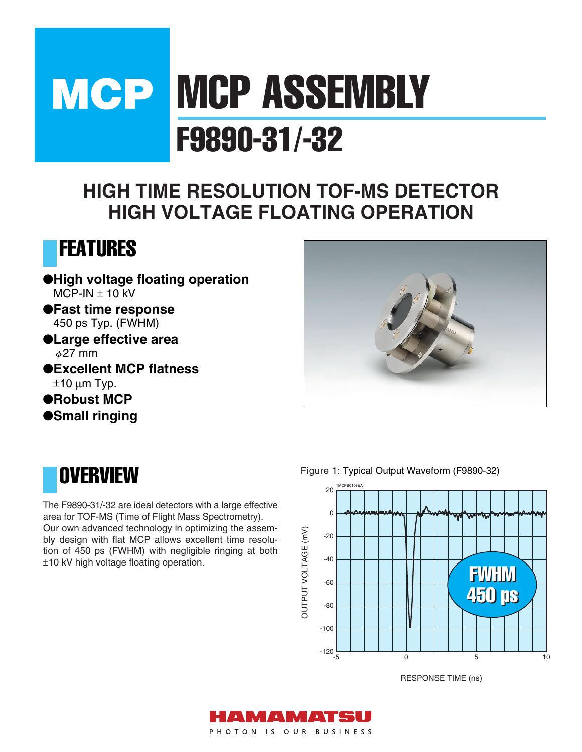# **MCP MCP ASSEMBLY** F9890-31/-32

### **HIGH TIME RESOLUTION TOF-MS DETECTOR HIGH VOLTAGE FLOATING OPERATION**



●**High voltage floating operation**   $MCP-IN \pm 10$  kV

●**Fast time response** 450 ps Typ. (FWHM)

- ●**Large effective area**  $\phi$ 27 mm
- ●**Excellent MCP flatness**  $±10 \mu m$  Typ.

●**Robust MCP**

●**Small ringing**



### **OVERVIEW**

The F9890-31/-32 are ideal detectors with a large effective area for TOF-MS (Time of Flight Mass Spectrometry). Our own advanced technology in optimizing the assembly design with flat MCP allows excellent time resolution of 450 ps (FWHM) with negligible ringing at both ±10 kV high voltage floating operation.

Figure 1: Typical Output Waveform (F9890-32)



RESPONSE TIME (ns)